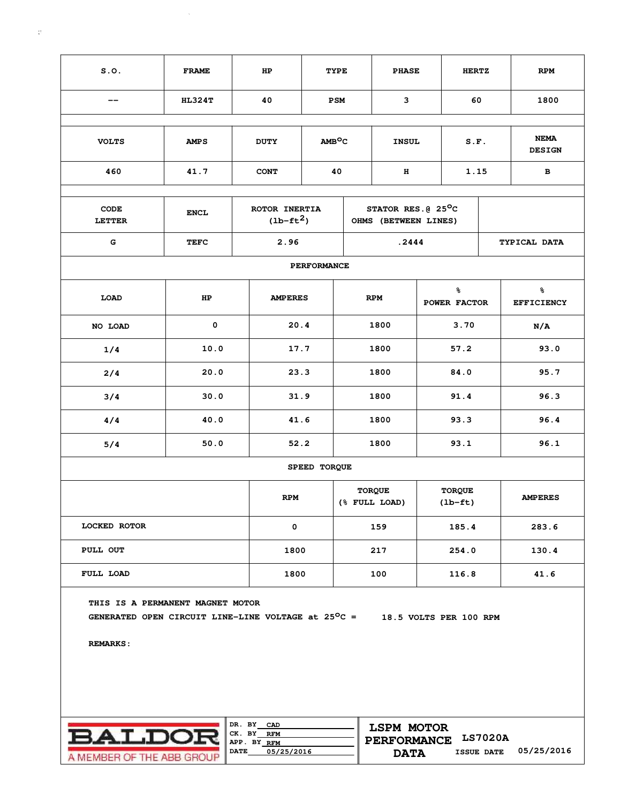| S.0.                                                                                                                                                                                               | <b>FRAME</b>  | HP             | TYPE                         |                                | <b>PHASE</b>                               |                                          | <b>HERTZ</b> |      | <b>RPM</b>                   |
|----------------------------------------------------------------------------------------------------------------------------------------------------------------------------------------------------|---------------|----------------|------------------------------|--------------------------------|--------------------------------------------|------------------------------------------|--------------|------|------------------------------|
| --                                                                                                                                                                                                 | <b>HL324T</b> | 40             | <b>PSM</b>                   |                                | 3                                          |                                          | 60           |      | 1800                         |
| <b>VOLTS</b>                                                                                                                                                                                       | <b>AMPS</b>   | <b>DUTY</b>    | AMB <sup>O</sup> C           | <b>INSUL</b>                   |                                            |                                          | S.F.         |      | <b>NEMA</b><br><b>DESIGN</b> |
| 460                                                                                                                                                                                                | 41.7          | <b>CONT</b>    | 40                           |                                | н                                          |                                          | 1.15         |      | в                            |
| <b>CODE</b><br><b>LETTER</b>                                                                                                                                                                       | <b>ENCL</b>   |                | ROTOR INERTIA<br>$(lb-ft^2)$ |                                | STATOR RES. @ 25°C<br>OHMS (BETWEEN LINES) |                                          |              |      |                              |
| $\mathbf G$                                                                                                                                                                                        | <b>TEFC</b>   | 2.96           |                              | .2444                          |                                            |                                          |              |      | TYPICAL DATA                 |
| <b>PERFORMANCE</b>                                                                                                                                                                                 |               |                |                              |                                |                                            |                                          |              |      |                              |
| LOAD                                                                                                                                                                                               | HP            | <b>AMPERES</b> |                              | <b>RPM</b>                     |                                            | ៖<br>POWER FACTOR                        |              |      | ℁<br><b>EFFICIENCY</b>       |
| NO LOAD                                                                                                                                                                                            | 0             | 20.4           |                              | 1800                           |                                            | 3.70                                     |              |      | N/A                          |
| 1/4                                                                                                                                                                                                | 10.0          | 17.7           |                              | 1800                           |                                            | 57.2                                     |              |      | 93.0                         |
| 2/4                                                                                                                                                                                                | 20.0          | 23.3           |                              | 1800                           |                                            | 84.0                                     |              |      | 95.7                         |
| 3/4                                                                                                                                                                                                | 30.0          | 31.9           |                              | 1800                           |                                            | 91.4                                     |              | 96.3 |                              |
| 4/4                                                                                                                                                                                                | 40.0          | 41.6           |                              | 1800                           |                                            |                                          | 93.3         |      | 96.4                         |
| 5/4                                                                                                                                                                                                | 50.0          | 52.2           |                              | 1800                           |                                            | 93.1                                     |              | 96.1 |                              |
|                                                                                                                                                                                                    |               |                | SPEED TORQUE                 |                                |                                            |                                          |              |      |                              |
|                                                                                                                                                                                                    |               | <b>RPM</b>     |                              | <b>TORQUE</b><br>(% FULL LOAD) |                                            | <b>TORQUE</b><br>$(\text{lb}-\text{ft})$ |              |      | <b>AMPERES</b>               |
| <b>LOCKED ROTOR</b>                                                                                                                                                                                |               | 0              |                              | 159                            |                                            | 185.4                                    |              |      | 283.6                        |
| PULL OUT                                                                                                                                                                                           |               | 1800           |                              | 217                            |                                            | 254.0                                    |              |      | 130.4                        |
| FULL LOAD                                                                                                                                                                                          |               | 1800           |                              | 100                            |                                            | 116.8                                    |              |      | 41.6                         |
| THIS IS A PERMANENT MAGNET MOTOR<br>GENERATED OPEN CIRCUIT LINE-LINE VOLTAGE at $25^{\circ}$ C = 18.5 VOLTS PER 100 RPM<br><b>REMARKS:</b>                                                         |               |                |                              |                                |                                            |                                          |              |      |                              |
| DR. BY CAD<br><b>LSPM MOTOR</b><br><b>BALDOI</b><br>CK. BY RFM<br>PERFORMANCE LS7020A<br>APP. BY RFM<br><b>DATE</b><br>05/25/2016<br><b>ISSUE DATE</b><br><b>DATA</b><br>A MEMBER OF THE ABB GROUP |               |                |                              |                                |                                            |                                          |              |      | 05/25/2016                   |

 $\sim$   $\sim$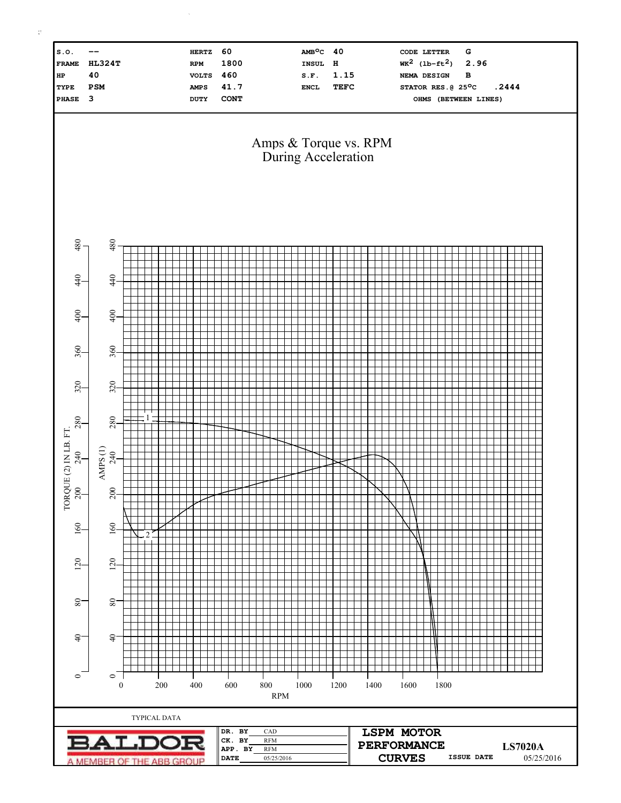